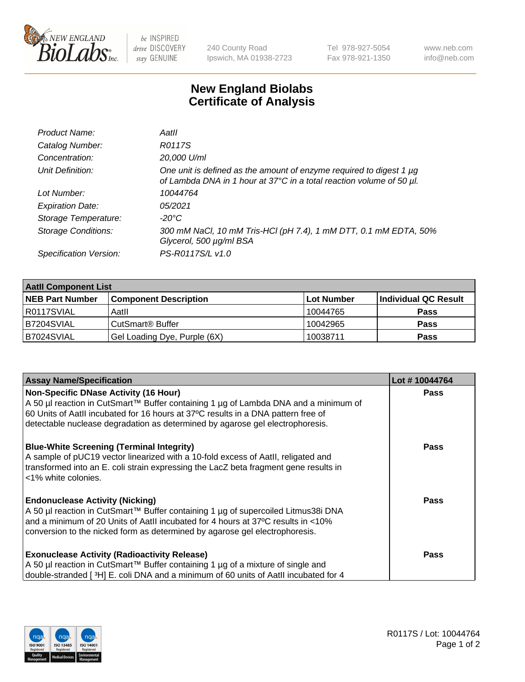

 $be$  INSPIRED drive DISCOVERY stay GENUINE

240 County Road Ipswich, MA 01938-2723 Tel 978-927-5054 Fax 978-921-1350 www.neb.com info@neb.com

## **New England Biolabs Certificate of Analysis**

| Product Name:              | Aatll                                                                                                                                            |
|----------------------------|--------------------------------------------------------------------------------------------------------------------------------------------------|
| Catalog Number:            | R0117S                                                                                                                                           |
| Concentration:             | 20,000 U/ml                                                                                                                                      |
| Unit Definition:           | One unit is defined as the amount of enzyme required to digest 1 $\mu$ g<br>of Lambda DNA in 1 hour at 37°C in a total reaction volume of 50 µl. |
| Lot Number:                | 10044764                                                                                                                                         |
| <b>Expiration Date:</b>    | 05/2021                                                                                                                                          |
| Storage Temperature:       | -20°C                                                                                                                                            |
| <b>Storage Conditions:</b> | 300 mM NaCl, 10 mM Tris-HCl (pH 7.4), 1 mM DTT, 0.1 mM EDTA, 50%<br>Glycerol, 500 µg/ml BSA                                                      |
| Specification Version:     | PS-R0117S/L v1.0                                                                                                                                 |

| <b>Aatll Component List</b> |                              |            |                      |  |  |
|-----------------------------|------------------------------|------------|----------------------|--|--|
| <b>NEB Part Number</b>      | <b>Component Description</b> | Lot Number | Individual QC Result |  |  |
| R0117SVIAL                  | Aatll                        | 10044765   | <b>Pass</b>          |  |  |
| B7204SVIAL                  | CutSmart <sup>®</sup> Buffer | 10042965   | <b>Pass</b>          |  |  |
| B7024SVIAL                  | Gel Loading Dye, Purple (6X) | 10038711   | <b>Pass</b>          |  |  |

| <b>Assay Name/Specification</b>                                                                                                                                                                                                                                                                | Lot #10044764 |
|------------------------------------------------------------------------------------------------------------------------------------------------------------------------------------------------------------------------------------------------------------------------------------------------|---------------|
| <b>Non-Specific DNase Activity (16 Hour)</b><br>A 50 µl reaction in CutSmart™ Buffer containing 1 µg of Lambda DNA and a minimum of                                                                                                                                                            | <b>Pass</b>   |
| 60 Units of Aatll incubated for 16 hours at 37°C results in a DNA pattern free of<br>detectable nuclease degradation as determined by agarose gel electrophoresis.                                                                                                                             |               |
| <b>Blue-White Screening (Terminal Integrity)</b><br>A sample of pUC19 vector linearized with a 10-fold excess of Aatll, religated and<br>transformed into an E. coli strain expressing the LacZ beta fragment gene results in<br>l <1% white colonies.                                         | Pass          |
| <b>Endonuclease Activity (Nicking)</b><br>A 50 µl reaction in CutSmart™ Buffer containing 1 µg of supercoiled Litmus38i DNA<br>and a minimum of 20 Units of AatII incubated for 4 hours at 37°C results in <10%<br>conversion to the nicked form as determined by agarose gel electrophoresis. | Pass          |
| <b>Exonuclease Activity (Radioactivity Release)</b><br>A 50 µl reaction in CutSmart™ Buffer containing 1 µg of a mixture of single and<br>double-stranded [3H] E. coli DNA and a minimum of 60 units of Aatll incubated for 4                                                                  | Pass          |